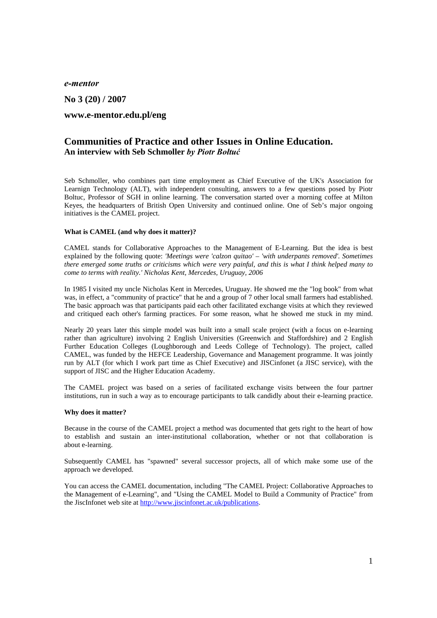*e-mentor* 

**No 3 (20) / 2007** 

# **www.e-mentor.edu.pl/eng**

# **Communities of Practice and other Issues in Online Education. An interview with Seb Schmoller** *by Piotr Bołtuć*

Seb Schmoller, who combines part time employment as Chief Executive of the UK's Association for Learnign Technology (ALT), with independent consulting, answers to a few questions posed by Piotr Boltuc, Professor of SGH in online learning. The conversation started over a morning coffee at Milton Keyes, the headquarters of British Open University and continued online. One of Seb's major ongoing initiatives is the CAMEL project.

#### **What is CAMEL (and why does it matter)?**

CAMEL stands for Collaborative Approaches to the Management of E-Learning. But the idea is best explained by the following quote: *'Meetings were 'calzon quitao' – 'with underpants removed'. Sometimes there emerged some truths or criticisms which were very painful, and this is what I think helped many to come to terms with reality.' Nicholas Kent, Mercedes, Uruguay, 2006* 

In 1985 I visited my uncle Nicholas Kent in Mercedes, Uruguay. He showed me the "log book" from what was, in effect, a "community of practice" that he and a group of 7 other local small farmers had established. The basic approach was that participants paid each other facilitated exchange visits at which they reviewed and critiqued each other's farming practices. For some reason, what he showed me stuck in my mind.

Nearly 20 years later this simple model was built into a small scale project (with a focus on e-learning rather than agriculture) involving 2 English Universities (Greenwich and Staffordshire) and 2 English Further Education Colleges (Loughborough and Leeds College of Technology). The project, called CAMEL, was funded by the HEFCE Leadership, Governance and Management programme. It was jointly run by ALT (for which I work part time as Chief Executive) and JISCinfonet (a JISC service), with the support of JISC and the Higher Education Academy.

The CAMEL project was based on a series of facilitated exchange visits between the four partner institutions, run in such a way as to encourage participants to talk candidly about their e-learning practice.

#### **Why does it matter?**

Because in the course of the CAMEL project a method was documented that gets right to the heart of how to establish and sustain an inter-institutional collaboration, whether or not that collaboration is about e-learning.

Subsequently CAMEL has "spawned" several successor projects, all of which make some use of the approach we developed.

You can access the CAMEL documentation, including "The CAMEL Project: Collaborative Approaches to the Management of e-Learning", and "Using the CAMEL Model to Build a Community of Practice" from the JiscInfonet web site at http://www.jiscinfonet.ac.uk/publications.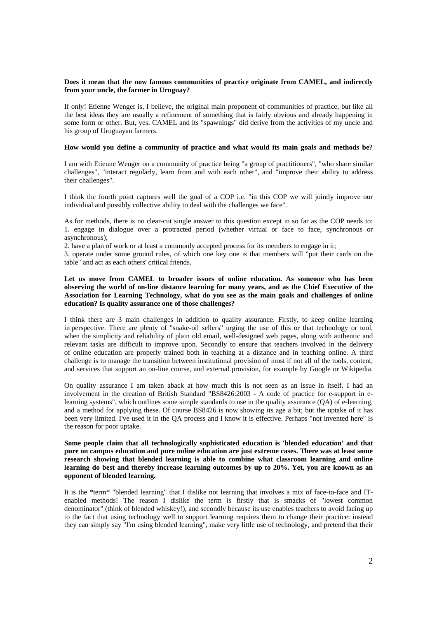### **Does it mean that the now famous communities of practice originate from CAMEL, and indirectly from your uncle, the farmer in Uruguay?**

If only! Etienne Wenger is, I believe, the original main proponent of communities of practice, but like all the best ideas they are usually a refinement of something that is fairly obvious and already happening in some form or other. But, yes, CAMEL and its "spawnings" did derive from the activities of my uncle and his group of Uruguayan farmers.

#### **How would you define a community of practice and what would its main goals and methods be?**

I am with Etienne Wenger on a community of practice being "a group of practitioners", "who share similar challenges", "interact regularly, learn from and with each other", and "improve their ability to address their challenges".

I think the fourth point captures well the goal of a COP i.e. "in this COP we will jointly improve our individual and possibly collective ability to deal with the challenges we face".

As for methods, there is no clear-cut single answer to this question except in so far as the COP needs to: 1. engage in dialogue over a protracted period (whether virtual or face to face, synchronous or asynchronous);

2. have a plan of work or at least a commonly accepted process for its members to engage in it;

3. operate under some ground rules, of which one key one is that members will "put their cards on the table" and act as each others' critical friends.

## **Let us move from CAMEL to broader issues of online education. As someone who has been observing the world of on-line distance learning for many years, and as the Chief Executive of the Association for Learning Technology, what do you see as the main goals and challenges of online education? Is quality assurance one of those challenges?**

I think there are 3 main challenges in addition to quality assurance. Firstly, to keep online learning in perspective. There are plenty of "snake-oil sellers" urging the use of this or that technology or tool, when the simplicity and reliability of plain old email, well-designed web pages, along with authentic and relevant tasks are difficult to improve upon. Secondly to ensure that teachers involved in the delivery of online education are properly trained both in teaching at a distance and in teaching online. A third challenge is to manage the transition between institutional provision of most if not all of the tools, content, and services that support an on-line course, and external provision, for example by Google or Wikipedia.

On quality assurance I am taken aback at how much this is not seen as an issue in itself. I had an involvement in the creation of British Standard "BS8426:2003 - A code of practice for e-support in elearning systems", which outlines some simple standards to use in the quality assurance (QA) of e-learning, and a method for applying these. Of course BS8426 is now showing its age a bit; but the uptake of it has been very limited. I've used it in the QA process and I know it is effective. Perhaps "not invented here" is the reason for poor uptake.

**Some people claim that all technologically sophisticated education is 'blended education' and that pure on campus education and pure online education are just extreme cases. There was at least some research showing that blended learning is able to combine what classroom learning and online learning do best and thereby increase learning outcomes by up to 20%. Yet, you are known as an opponent of blended learning.** 

It is the \*term\* "blended learning" that I dislike not learning that involves a mix of face-to-face and ITenabled methods! The reason I dislike the term is firstly that is smacks of "lowest common denominator" (think of blended whiskey!), and secondly because its use enables teachers to avoid facing up to the fact that using technology well to support learning requires them to change their practice: instead they can simply say "I'm using blended learning", make very little use of technology, and pretend that their